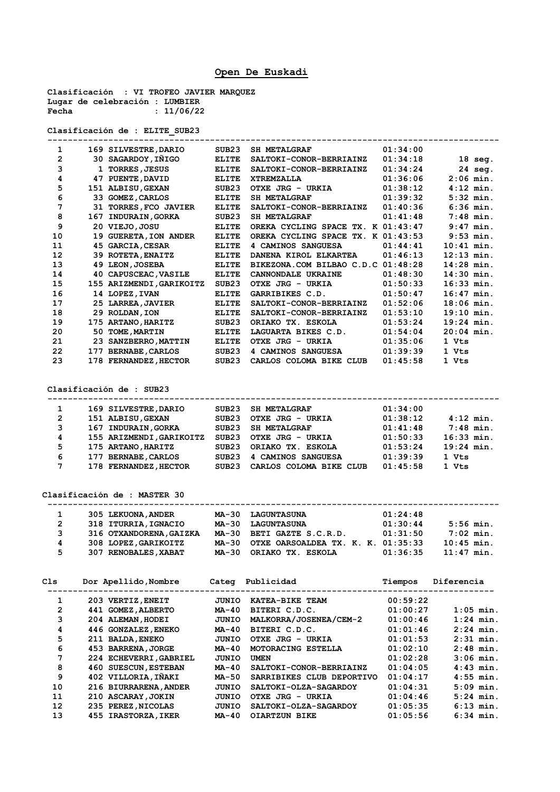## **Open De Euskadi**

**Clasificación : VI TROFEO JAVIER MARQUEZ Lugar de celebración : LUMBIER Fecha : 11/06/22**

**Clasificación de : ELITE\_SUB23**

| 1  |     | 169 SILVESTRE, DARIO      | SUB <sub>23</sub> | <b>SH METALGRAF</b>                | 01:34:00     |              |
|----|-----|---------------------------|-------------------|------------------------------------|--------------|--------------|
| 2  |     | 30 SAGARDOY, IÑIGO        | <b>ELITE</b>      | SALTOKI-CONOR-BERRIAINZ            | 01:34:18     | $18$ seg.    |
| 3  | 1   | <b>TORRES, JESUS</b>      | <b>ELITE</b>      | SALTOKI-CONOR-BERRIAINZ            | 01:34:24     | 24 seg.      |
| 4  | 47  | PUENTE, DAVID             | <b>ELITE</b>      | <b>XTREMZALLA</b>                  | 01:36:06     | $2:06$ min.  |
| 5  | 151 | <b>ALBISU, GEXAN</b>      | SUB23             | OTXE JRG - URKIA                   | 01:38:12     | $4:12$ min.  |
| 6  | 33. | <b>GOMEZ, CARLOS</b>      | <b>ELITE</b>      | <b>SH METALGRAF</b>                | 01:39:32     | $5:32$ min.  |
| 7  | 31  | TORRES, FCO JAVIER        | <b>ELITE</b>      | SALTOKI-CONOR-BERRIAINZ            | 01:40:36     | $6:36$ min.  |
| 8  | 167 | INDURAIN, GORKA           | SUB23             | <b>SH METALGRAF</b>                | 01:41:48     | $7:48$ min.  |
| 9  |     | 20 VIEJO, JOSU            | <b>ELITE</b>      | OREKA CYCLING SPACE TX.            | $K$ 01:43:47 | $9:47$ min.  |
| 10 | 19  | <b>GUERETA, ION ANDER</b> | <b>ELITE</b>      | OREKA CYCLING SPACE TX. K 01:43:53 |              | $9:53$ min.  |
| 11 |     | 45 GARCIA, CESAR          | <b>ELITE</b>      | 4 CAMINOS SANGUESA                 | 01:44:41     | $10:41$ min. |
| 12 | 39. | <b>ROTETA, ENAITZ</b>     | <b>ELITE</b>      | DANENA KIROL ELKARTEA              | 01:46:13     | $12:13$ min. |
| 13 |     | 49 LEON, JOSEBA           | <b>ELITE</b>      | BIKEZONA.COM BILBAO C.D.C          | 01:48:28     | $14:28$ min. |
| 14 | 40  | CAPUSCEAC, VASILE         | <b>ELITE</b>      | CANNONDALE UKRAINE                 | 01:48:30     | $14:30$ min. |
| 15 |     | 155 ARIZMENDI, GARIKOITZ  | SUB23             | OTXE JRG - URKIA                   | 01:50:33     | $16:33$ min. |
| 16 |     | 14 LOPEZ, IVAN            | <b>ELITE</b>      | <b>GARRIBIKES C.D.</b>             | 01:50:47     | $16:47$ min. |
| 17 | 25  | <b>LARREA, JAVIER</b>     | <b>ELITE</b>      | SALTOKI-CONOR-BERRIAINZ            | 01:52:06     | $18:06$ min. |
| 18 |     | 29 ROLDAN, ION            | <b>ELITE</b>      | SALTOKI-CONOR-BERRIAINZ            | 01:53:10     | $19:10$ min. |
| 19 | 175 | <b>ARTANO, HARITZ</b>     | SUB <sub>23</sub> | ORIAKO TX. ESKOLA                  | 01:53:24     | $19:24$ min. |
| 20 | 50  | TOME, MARTIN              | <b>ELITE</b>      | LAGUARTA BIKES C.D.                | 01:54:04     | $20:04$ min. |
| 21 | 23  | SANZBERRO, MATTIN         | <b>ELITE</b>      | OTXE JRG - URKIA                   | 01:35:06     | 1 Vts        |
| 22 | 177 | <b>BERNABE, CARLOS</b>    | SUB <sub>23</sub> | 4 CAMINOS SANGUESA                 | 01:39:39     | 1 Vts        |
| 23 |     | 178 FERNANDEZ, HECTOR     | SUB23             | CARLOS COLOMA BIKE CLUB            | 01:45:58     | 1 Vts        |
|    |     |                           |                   |                                    |              |              |

**Clasificación de : SUB23**

| 1              | 169 SILVESTRE, DARIO     | SUB23 | <b>SH METALGRAF</b>     | 01:34:00 |              |
|----------------|--------------------------|-------|-------------------------|----------|--------------|
| $\overline{2}$ | 151 ALBISU, GEXAN        | SUB23 | OTXE JRG - URKIA        | 01:38:12 | $4:12$ min.  |
| 3              | 167 INDURAIN, GORKA      | SUB23 | <b>SH METALGRAF</b>     | 01:41:48 | $7:48$ min.  |
| 4              | 155 ARIZMENDI, GARIKOITZ | SUB23 | OTXE JRG - URKIA        | 01:50:33 | 16:33 min.   |
| 5              | 175 ARTANO, HARITZ       | SUB23 | ORIAKO TX. ESKOLA       | 01:53:24 | $19:24$ min. |
| 6              | 177 BERNABE, CARLOS      | SUB23 | 4 CAMINOS SANGUESA      | 01:39:39 | 1 Vts        |
| 7              | 178 FERNANDEZ, HECTOR    | SUB23 | CARLOS COLOMA BIKE CLUB | 01:45:58 | 1 Vts        |

**Clasificación de : MASTER 30**

| 1              | 305 LEKUONA, ANDER      | MA-30 | <b>LAGUNTASUNA</b>                 | 01:24:48                 |
|----------------|-------------------------|-------|------------------------------------|--------------------------|
| $\overline{2}$ | 318 ITURRIA, IGNACIO    |       | MA-30 LAGUNTASUNA                  | 01:30:44<br>$5:56$ min.  |
| 3              | 316 OTXANDORENA, GAIZKA |       | MA-30 BETI GAZTE S.C.R.D.          | $7:02$ min.<br>01:31:50  |
| 4              | 308 LOPEZ, GARIKOITZ    | MA-30 | OTXE OARSOALDEA TX. K. K. 01:35:33 | $10:45$ min.             |
| 5              | 307 RENOBALES, XABAT    | MA-30 | ORIAKO TX. ESKOLA                  | $11:47$ min.<br>01:36:35 |

| Cls | Dor Apellido, Nombre        | Categ        | Publicidad                | Tiempos  | Diferencia  |
|-----|-----------------------------|--------------|---------------------------|----------|-------------|
| 1   | 203 VERTIZ, ENEIT           | JUNIO        | KATEA-BIKE TEAM           | 00:59:22 |             |
| 2   | 441 GOMEZ, ALBERTO          | <b>MA-40</b> | BITERI C.D.C.             | 01:00:27 | $1:05$ min. |
| 3   | 204 ALEMAN, HODEI           | JUNIO        | MALKORRA/JOSENEA/CEM-2    | 01:00:46 | $1:24$ min. |
| 4   | 446 GONZALEZ, ENEKO         | <b>MA-40</b> | BITERI C.D.C.             | 01:01:46 | $2:24$ min. |
| 5   | 211 BALDA, ENEKO            | JUNIO        | OTXE JRG - URKIA          | 01:01:53 | $2:31$ min. |
| 6   | 453 BARRENA, JORGE          | <b>MA-40</b> | MOTORACING ESTELLA        | 01:02:10 | $2:48$ min. |
| 7   | 224 ECHEVERRI, GABRIEL      | JUNIO        | <b>UMEN</b>               | 01:02:28 | $3:06$ min. |
| 8   | <b>460 SUESCUN, ESTEBAN</b> | <b>MA-40</b> | SALTOKI-CONOR-BERRIAINZ   | 01:04:05 | $4:43$ min. |
| 9   | 402 VILLORIA, INAKI         | MA-50        | SARRIBIKES CLUB DEPORTIVO | 01:04:17 | $4:55$ min. |
| 10  | 216 BIURRARENA, ANDER       | JUNIO        | SALTOKI-OLZA-SAGARDOY     | 01:04:31 | $5:09$ min. |
| 11  | 210 ASCARAY, JOKIN          | JUNIO        | OTXE JRG - URKIA          | 01:04:46 | $5:24$ min. |
| 12  | 235 PEREZ, NICOLAS          | JUNIO        | SALTOKI-OLZA-SAGARDOY     | 01:05:35 | $6:13$ min. |
| 13  | 455 IRASTORZA, IKER         | $MA-40$      | <b>OIARTZUN BIKE</b>      | 01:05:56 | $6:34$ min. |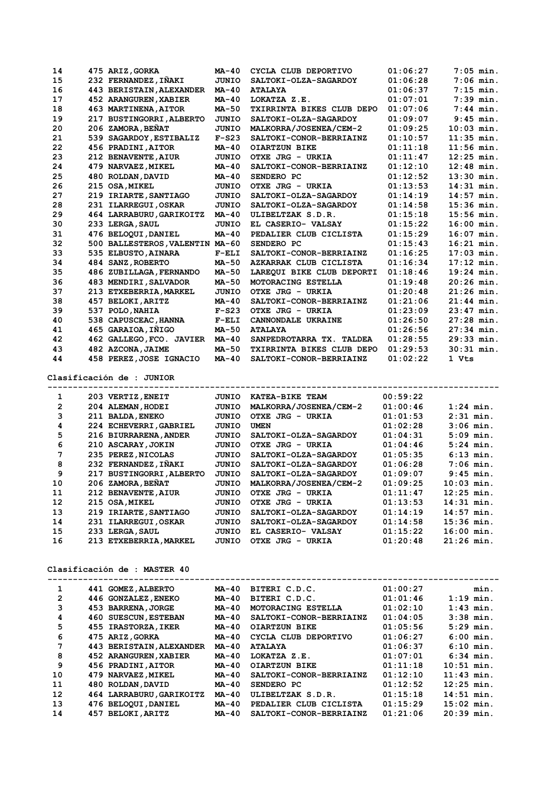| 14 |     | 475 ARIZ, GORKA                 | $MA-40$      | CYCLA CLUB DEPORTIVO      | 01:06:27 | $7:05$ min.  |
|----|-----|---------------------------------|--------------|---------------------------|----------|--------------|
| 15 |     | 232 FERNANDEZ, IÑAKI            | <b>JUNIO</b> | SALTOKI-OLZA-SAGARDOY     | 01:06:28 | $7:06$ min.  |
| 16 |     | 443 BERISTAIN, ALEXANDER        | $MA-40$      | <b>ATALAYA</b>            | 01:06:37 | $7:15$ min.  |
| 17 |     | <b>452 ARANGUREN, XABIER</b>    | <b>MA-40</b> | LOKATZA Z.E.              | 01:07:01 | $7:39$ min.  |
| 18 |     | <b>463 MARTINENA, AITOR</b>     | <b>MA-50</b> | TXIRRINTA BIKES CLUB DEPO | 01:07:06 | $7:44$ min.  |
| 19 |     | 217 BUSTINGORRI, ALBERTO        | <b>JUNIO</b> | SALTOKI-OLZA-SAGARDOY     | 01:09:07 | $9:45$ min.  |
| 20 |     | 206 ZAMORA, BEÑAT               | JUNIO        | MALKORRA/JOSENEA/CEM-2    | 01:09:25 | $10:03$ min. |
| 21 |     | 539 SAGARDOY, ESTIBALIZ         | $F-S23$      | SALTOKI-CONOR-BERRIAINZ   | 01:10:57 | $11:35$ min. |
| 22 |     | 456 PRADINI, AITOR              | <b>MA-40</b> | <b>OIARTZUN BIKE</b>      | 01:11:18 | $11:56$ min. |
| 23 |     | 212 BENAVENTE, AIUR             | JUNIO        | OTXE JRG - URKIA          | 01:11:47 | $12:25$ min. |
| 24 |     | 479 NARVAEZ, MIKEL              | $MA-40$      | SALTOKI-CONOR-BERRIAINZ   | 01:12:10 | $12:48$ min. |
| 25 |     | 480 ROLDAN, DAVID               | $MA-40$      | SENDERO PC                | 01:12:52 | $13:30$ min. |
| 26 |     | 215 OSA, MIKEL                  | JUNIO        | OTXE JRG - URKIA          | 01:13:53 | $14:31$ min. |
| 27 |     | 219 IRIARTE, SANTIAGO           | JUNIO        | SALTOKI-OLZA-SAGARDOY     | 01:14:19 | $14:57$ min. |
| 28 | 231 | <b>ILARREGUI, OSKAR</b>         | JUNIO        | SALTOKI-OLZA-SAGARDOY     | 01:14:58 | $15:36$ min. |
| 29 |     | 464 LARRABURU, GARIKOITZ        | <b>MA-40</b> | ULIBELTZAK S.D.R.         | 01:15:18 | $15:56$ min. |
| 30 |     | 233 LERGA, SAUL                 | JUNIO        | EL CASERIO- VALSAY        | 01:15:22 | $16:00$ min. |
| 31 |     | 476 BELOQUI, DANIEL             | $MA-40$      | PEDALIER CLUB CICLISTA    | 01:15:29 | $16:07$ min. |
| 32 |     | 500 BALLESTEROS, VALENTIN MA-60 |              | SENDERO PC                | 01:15:43 | $16:21$ min. |
| 33 |     | 535 ELBUSTO, AINARA             | $F-ELI$      | SALTOKI-CONOR-BERRIAINZ   | 01:16:25 | $17:03$ min. |
| 34 |     | 484 SANZ, ROBERTO               | <b>MA-50</b> | AZKARRAK CLUB CICLISTA    | 01:16:34 | $17:12$ min. |
| 35 |     | 486 ZUBILLAGA, FERNANDO         | <b>MA-50</b> | LAREOUI BIKE CLUB DEPORTI | 01:18:46 | $19:24$ min. |
| 36 |     | 483 MENDIRI, SALVADOR           | <b>MA-50</b> | MOTORACING ESTELLA        | 01:19:48 | $20:26$ min. |
| 37 |     | 213 ETXEBERRIA, MARKEL          | JUNIO        | OTXE JRG - URKIA          | 01:20:48 | $21:26$ min. |
| 38 | 457 | <b>BELOKI, ARITZ</b>            | $MA-40$      | SALTOKI-CONOR-BERRIAINZ   | 01:21:06 | $21:44$ min. |
| 39 |     | 537 POLO, NAHIA                 | $F-S23$      | OTXE JRG - URKIA          | 01:23:09 | $23:47$ min. |
| 40 |     | 538 CAPUSCEAC, HANNA            | $F-ELI$      | CANNONDALE UKRAINE        | 01:26:50 | $27:28$ min. |
| 41 |     | 465 GARAIOA, IÑIGO              | <b>MA-50</b> | <b>ATALAYA</b>            | 01:26:56 | $27:34$ min. |
| 42 |     | 462 GALLEGO, FCO. JAVIER        | $MA-40$      | SANPEDROTARRA TX. TALDEA  | 01:28:55 | $29:33$ min. |
| 43 |     | 482 AZCONA, JAIME               | $MA-50$      | TXIRRINTA BIKES CLUB DEPO | 01:29:53 | $30:31$ min. |
| 44 |     | 458 PEREZ, JOSE IGNACIO         | $MA-40$      | SALTOKI-CONOR-BERRIAINZ   | 01:02:22 | 1 Vts        |
|    |     |                                 |              |                           |          |              |

**Clasificación de : JUNIOR**

| 1            |     | 203 VERTIZ, ENEIT        | JUNIO | KATEA-BIKE TEAM        | 00:59:22 |              |
|--------------|-----|--------------------------|-------|------------------------|----------|--------------|
| $\mathbf{2}$ |     | 204 ALEMAN, HODEI        | JUNIO | MALKORRA/JOSENEA/CEM-2 | 01:00:46 | $1:24$ min.  |
| 3            |     | 211 BALDA, ENEKO         | JUNIO | OTXE JRG - URKIA       | 01:01:53 | $2:31$ min.  |
| 4            |     | 224 ECHEVERRI, GABRIEL   | JUNIO | <b>UMEN</b>            | 01:02:28 | $3:06$ min.  |
| 5            |     | 216 BIURRARENA, ANDER    | JUNIO | SALTOKI-OLZA-SAGARDOY  | 01:04:31 | $5:09$ min.  |
| 6            |     | 210 ASCARAY, JOKIN       | JUNIO | OTXE JRG - URKIA       | 01:04:46 | $5:24$ min.  |
| 7            |     | 235 PEREZ, NICOLAS       | JUNIO | SALTOKI-OLZA-SAGARDOY  | 01:05:35 | $6:13$ min.  |
| 8            |     | 232 FERNANDEZ, INAKI     | JUNIO | SALTOKI-OLZA-SAGARDOY  | 01:06:28 | $7:06$ min.  |
| 9            |     | 217 BUSTINGORRI, ALBERTO | JUNIO | SALTOKI-OLZA-SAGARDOY  | 01:09:07 | $9:45$ min.  |
| 10           |     | 206 ZAMORA, BENAT        | JUNIO | MALKORRA/JOSENEA/CEM-2 | 01:09:25 | $10:03$ min. |
| 11           |     | 212 BENAVENTE, AIUR      | JUNIO | OTXE JRG - URKIA       | 01:11:47 | $12:25$ min. |
| 12           |     | 215 OSA, MIKEL           | JUNIO | OTXE JRG - URKIA       | 01:13:53 | $14:31$ min. |
| 13           | 219 | <b>IRIARTE, SANTIAGO</b> | JUNIO | SALTOKI-OLZA-SAGARDOY  | 01:14:19 | $14:57$ min. |
| 14           |     | 231 ILARREGUI, OSKAR     | JUNIO | SALTOKI-OLZA-SAGARDOY  | 01:14:58 | $15:36$ min. |
| 15           |     | 233 LERGA, SAUL          | JUNIO | EL CASERIO- VALSAY     | 01:15:22 | $16:00$ min. |
| 16           |     | 213 ETXEBERRIA, MARKEL   | JUNIO | OTXE JRG - URKIA       | 01:20:48 | $21:26$ min. |

## **Clasificación de : MASTER 40**

| 1            |     | 441 GOMEZ, ALBERTO           | <b>MA-40</b> | BITERI C.D.C.           | 01:00:27 | min.                |
|--------------|-----|------------------------------|--------------|-------------------------|----------|---------------------|
| $\mathbf{2}$ |     | 446 GONZALEZ, ENEKO          | $MA-40$      | BITERI C.D.C.           | 01:01:46 | $1:19$ min.         |
| 3            |     | 453 BARRENA, JORGE           | $MA-40$      | MOTORACING ESTELLA      | 01:02:10 | $1:43$ min.         |
| 4            |     | <b>460 SUESCUN, ESTEBAN</b>  | $MA-40$      | SALTOKI-CONOR-BERRIAINZ | 01:04:05 | $3:38$ min.         |
| 5            |     | 455 IRASTORZA, IKER          | <b>MA-40</b> | <b>OIARTZUN BIKE</b>    | 01:05:56 | $5:29$ min.         |
| 6            |     | 475 ARIZ, GORKA              | <b>MA-40</b> | CYCLA CLUB DEPORTIVO    | 01:06:27 | $6:00 \text{ min.}$ |
| 7            |     | 443 BERISTAIN, ALEXANDER     | <b>MA-40</b> | <b>ATALAYA</b>          | 01:06:37 | $6:10$ min.         |
| 8            |     | <b>452 ARANGUREN, XABIER</b> | $MA-40$      | LOKATZA Z.E.            | 01:07:01 | $6:34$ min.         |
| 9            |     | 456 PRADINI, AITOR           | MA-40        | <b>OIARTZUN BIKE</b>    | 01:11:18 | $10:51$ min.        |
| 10           |     | 479 NARVAEZ, MIKEL           | <b>MA-40</b> | SALTOKI-CONOR-BERRIAINZ | 01:12:10 | $11:43$ min.        |
| 11           |     | 480 ROLDAN, DAVID            | <b>MA-40</b> | SENDERO PC              | 01:12:52 | $12:25$ min.        |
| 12           |     | 464 LARRABURU, GARIKOITZ     | <b>MA-40</b> | ULIBELTZAK S.D.R.       | 01:15:18 | $14:51$ min.        |
| 13           |     | 476 BELOQUI, DANIEL          | <b>MA-40</b> | PEDALIER CLUB CICLISTA  | 01:15:29 | $15:02$ min.        |
| 14           | 457 | <b>BELOKI, ARITZ</b>         | <b>MA-40</b> | SALTOKI-CONOR-BERRIAINZ | 01:21:06 | $20:39$ min.        |
|              |     |                              |              |                         |          |                     |